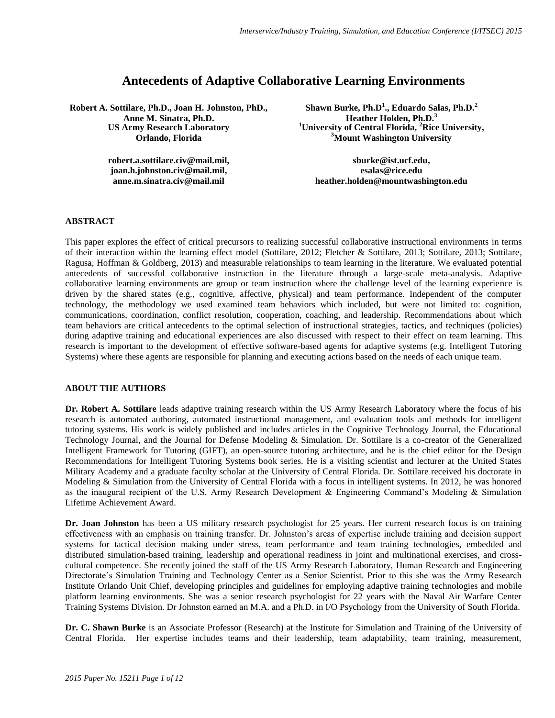# **Antecedents of Adaptive Collaborative Learning Environments**

**Robert A. Sottilare, Ph.D., Joan H. Johnston, PhD., Anne M. Sinatra, Ph.D. US Army Research Laboratory Orlando, Florida**

> **robert.a.sottilare.civ@mail.mil, joan.h.johnston.civ@mail.mil, anne.m.sinatra.civ@mail.mil**

**Shawn Burke, Ph.D<sup>1</sup> ., Eduardo Salas, Ph.D.<sup>2</sup> Heather Holden, Ph.D.<sup>3</sup> <sup>1</sup>University of Central Florida, <sup>2</sup>Rice University, <sup>3</sup>Mount Washington University**

**sburke@ist.ucf.edu, esalas@rice.edu heather.holden@mountwashington.edu**

# **ABSTRACT**

This paper explores the effect of critical precursors to realizing successful collaborative instructional environments in terms of their interaction within the learning effect model (Sottilare, 2012; Fletcher & Sottilare, 2013; Sottilare, 2013; Sottilare, Ragusa, Hoffman & Goldberg, 2013) and measurable relationships to team learning in the literature. We evaluated potential antecedents of successful collaborative instruction in the literature through a large-scale meta-analysis. Adaptive collaborative learning environments are group or team instruction where the challenge level of the learning experience is driven by the shared states (e.g., cognitive, affective, physical) and team performance. Independent of the computer technology, the methodology we used examined team behaviors which included, but were not limited to: cognition, communications, coordination, conflict resolution, cooperation, coaching, and leadership. Recommendations about which team behaviors are critical antecedents to the optimal selection of instructional strategies, tactics, and techniques (policies) during adaptive training and educational experiences are also discussed with respect to their effect on team learning. This research is important to the development of effective software-based agents for adaptive systems (e.g. Intelligent Tutoring Systems) where these agents are responsible for planning and executing actions based on the needs of each unique team.

### **ABOUT THE AUTHORS**

**Dr. Robert A. Sottilare** leads adaptive training research within the US Army Research Laboratory where the focus of his research is automated authoring, automated instructional management, and evaluation tools and methods for intelligent tutoring systems. His work is widely published and includes articles in the Cognitive Technology Journal, the Educational Technology Journal, and the Journal for Defense Modeling & Simulation. Dr. Sottilare is a co-creator of the Generalized Intelligent Framework for Tutoring (GIFT), an open-source tutoring architecture, and he is the chief editor for the Design Recommendations for Intelligent Tutoring Systems book series. He is a visiting scientist and lecturer at the United States Military Academy and a graduate faculty scholar at the University of Central Florida. Dr. Sottilare received his doctorate in Modeling & Simulation from the University of Central Florida with a focus in intelligent systems. In 2012, he was honored as the inaugural recipient of the U.S. Army Research Development & Engineering Command's Modeling & Simulation Lifetime Achievement Award.

**Dr. Joan Johnston** has been a US military research psychologist for 25 years. Her current research focus is on training effectiveness with an emphasis on training transfer. Dr. Johnston's areas of expertise include training and decision support systems for tactical decision making under stress, team performance and team training technologies, embedded and distributed simulation-based training, leadership and operational readiness in joint and multinational exercises, and crosscultural competence. She recently joined the staff of the US Army Research Laboratory, Human Research and Engineering Directorate's Simulation Training and Technology Center as a Senior Scientist. Prior to this she was the Army Research Institute Orlando Unit Chief, developing principles and guidelines for employing adaptive training technologies and mobile platform learning environments. She was a senior research psychologist for 22 years with the Naval Air Warfare Center Training Systems Division. Dr Johnston earned an M.A. and a Ph.D. in I/O Psychology from the University of South Florida.

**Dr. C. Shawn Burke** is an Associate Professor (Research) at the Institute for Simulation and Training of the University of Central Florida. Her expertise includes teams and their leadership, team adaptability, team training, measurement,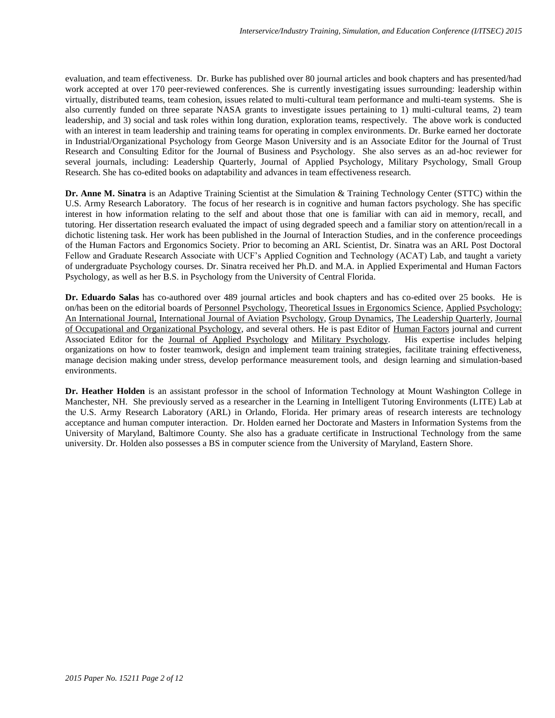evaluation, and team effectiveness. Dr. Burke has published over 80 journal articles and book chapters and has presented/had work accepted at over 170 peer-reviewed conferences. She is currently investigating issues surrounding: leadership within virtually, distributed teams, team cohesion, issues related to multi-cultural team performance and multi-team systems. She is also currently funded on three separate NASA grants to investigate issues pertaining to 1) multi-cultural teams, 2) team leadership, and 3) social and task roles within long duration, exploration teams, respectively. The above work is conducted with an interest in team leadership and training teams for operating in complex environments. Dr. Burke earned her doctorate in Industrial/Organizational Psychology from George Mason University and is an Associate Editor for the Journal of Trust Research and Consulting Editor for the Journal of Business and Psychology. She also serves as an ad-hoc reviewer for several journals, including: Leadership Quarterly, Journal of Applied Psychology, Military Psychology, Small Group Research. She has co-edited books on adaptability and advances in team effectiveness research.

**Dr. Anne M. Sinatra** is an Adaptive Training Scientist at the Simulation & Training Technology Center (STTC) within the U.S. Army Research Laboratory. The focus of her research is in cognitive and human factors psychology. She has specific interest in how information relating to the self and about those that one is familiar with can aid in memory, recall, and tutoring. Her dissertation research evaluated the impact of using degraded speech and a familiar story on attention/recall in a dichotic listening task. Her work has been published in the Journal of Interaction Studies, and in the conference proceedings of the Human Factors and Ergonomics Society. Prior to becoming an ARL Scientist, Dr. Sinatra was an ARL Post Doctoral Fellow and Graduate Research Associate with UCF's Applied Cognition and Technology (ACAT) Lab, and taught a variety of undergraduate Psychology courses. Dr. Sinatra received her Ph.D. and M.A. in Applied Experimental and Human Factors Psychology, as well as her B.S. in Psychology from the University of Central Florida.

**Dr. Eduardo Salas** has co-authored over 489 journal articles and book chapters and has co-edited over 25 books. He is on/has been on the editorial boards of Personnel Psychology, Theoretical Issues in Ergonomics Science, Applied Psychology: An International Journal, International Journal of Aviation Psychology, Group Dynamics, The Leadership Quarterly, Journal of Occupational and Organizational Psychology, and several others. He is past Editor of Human Factors journal and current Associated Editor for the Journal of Applied Psychology and Military Psychology. His expertise includes helping organizations on how to foster teamwork, design and implement team training strategies, facilitate training effectiveness, manage decision making under stress, develop performance measurement tools, and design learning and simulation-based environments.

**Dr. Heather Holden** is an assistant professor in the school of Information Technology at Mount Washington College in Manchester, NH. She previously served as a researcher in the Learning in Intelligent Tutoring Environments (LITE) Lab at the U.S. Army Research Laboratory (ARL) in Orlando, Florida. Her primary areas of research interests are technology acceptance and human computer interaction. Dr. Holden earned her Doctorate and Masters in Information Systems from the University of Maryland, Baltimore County. She also has a graduate certificate in Instructional Technology from the same university. Dr. Holden also possesses a BS in computer science from the University of Maryland, Eastern Shore.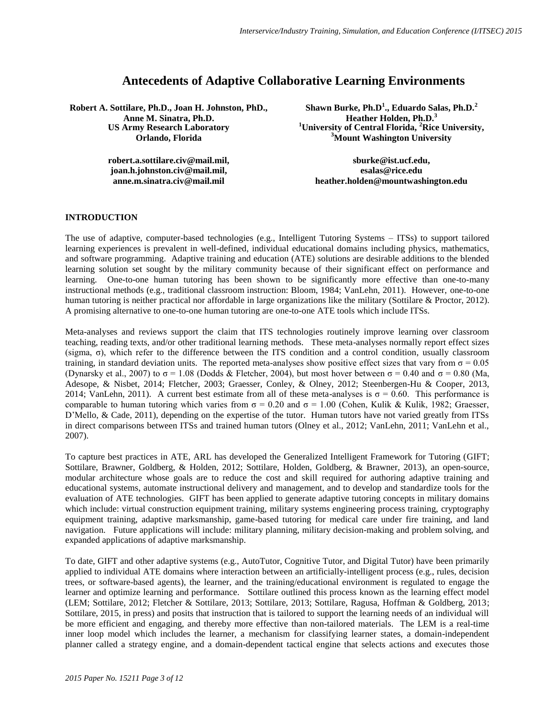# **Antecedents of Adaptive Collaborative Learning Environments**

**Robert A. Sottilare, Ph.D., Joan H. Johnston, PhD., Anne M. Sinatra, Ph.D. US Army Research Laboratory Orlando, Florida**

> **robert.a.sottilare.civ@mail.mil, joan.h.johnston.civ@mail.mil, anne.m.sinatra.civ@mail.mil**

**Shawn Burke, Ph.D<sup>1</sup> ., Eduardo Salas, Ph.D.<sup>2</sup> Heather Holden, Ph.D.<sup>3</sup> <sup>1</sup>University of Central Florida, <sup>2</sup>Rice University, <sup>3</sup>Mount Washington University**

**sburke@ist.ucf.edu, esalas@rice.edu heather.holden@mountwashington.edu**

# **INTRODUCTION**

The use of adaptive, computer-based technologies (e.g., Intelligent Tutoring Systems – ITSs) to support tailored learning experiences is prevalent in well-defined, individual educational domains including physics, mathematics, and software programming. Adaptive training and education (ATE) solutions are desirable additions to the blended learning solution set sought by the military community because of their significant effect on performance and learning. One-to-one human tutoring has been shown to be significantly more effective than one-to-many instructional methods (e.g., traditional classroom instruction: Bloom, 1984; VanLehn, 2011). However, one-to-one human tutoring is neither practical nor affordable in large organizations like the military (Sottilare & Proctor, 2012). A promising alternative to one-to-one human tutoring are one-to-one ATE tools which include ITSs.

Meta-analyses and reviews support the claim that ITS technologies routinely improve learning over classroom teaching, reading texts, and/or other traditional learning methods. These meta-analyses normally report effect sizes (sigma, σ), which refer to the difference between the ITS condition and a control condition, usually classroom training, in standard deviation units. The reported meta-analyses show positive effect sizes that vary from  $\sigma = 0.05$ (Dynarsky et al., 2007) to  $\sigma$  = 1.08 (Dodds & Fletcher, 2004), but most hover between  $\sigma$  = 0.40 and  $\sigma$  = 0.80 (Ma, Adesope, & Nisbet, 2014; Fletcher, 2003; Graesser, Conley, & Olney, 2012; Steenbergen-Hu & Cooper, 2013, 2014; VanLehn, 2011). A current best estimate from all of these meta-analyses is  $\sigma = 0.60$ . This performance is comparable to human tutoring which varies from  $\sigma = 0.20$  and  $\sigma = 1.00$  (Cohen, Kulik & Kulik, 1982; Graesser, D'Mello, & Cade, 2011), depending on the expertise of the tutor. Human tutors have not varied greatly from ITSs in direct comparisons between ITSs and trained human tutors (Olney et al., 2012; VanLehn, 2011; VanLehn et al., 2007).

To capture best practices in ATE, ARL has developed the Generalized Intelligent Framework for Tutoring (GIFT; Sottilare, Brawner, Goldberg, & Holden, 2012; Sottilare, Holden, Goldberg, & Brawner, 2013), an open-source, modular architecture whose goals are to reduce the cost and skill required for authoring adaptive training and educational systems, automate instructional delivery and management, and to develop and standardize tools for the evaluation of ATE technologies. GIFT has been applied to generate adaptive tutoring concepts in military domains which include: virtual construction equipment training, military systems engineering process training, cryptography equipment training, adaptive marksmanship, game-based tutoring for medical care under fire training, and land navigation. Future applications will include: military planning, military decision-making and problem solving, and expanded applications of adaptive marksmanship.

To date, GIFT and other adaptive systems (e.g., AutoTutor, Cognitive Tutor, and Digital Tutor) have been primarily applied to individual ATE domains where interaction between an artificially-intelligent process (e.g., rules, decision trees, or software-based agents), the learner, and the training/educational environment is regulated to engage the learner and optimize learning and performance. Sottilare outlined this process known as the learning effect model (LEM; Sottilare, 2012; Fletcher & Sottilare, 2013; Sottilare, 2013; Sottilare, Ragusa, Hoffman & Goldberg, 2013; Sottilare, 2015, in press) and posits that instruction that is tailored to support the learning needs of an individual will be more efficient and engaging, and thereby more effective than non-tailored materials. The LEM is a real-time inner loop model which includes the learner, a mechanism for classifying learner states, a domain-independent planner called a strategy engine, and a domain-dependent tactical engine that selects actions and executes those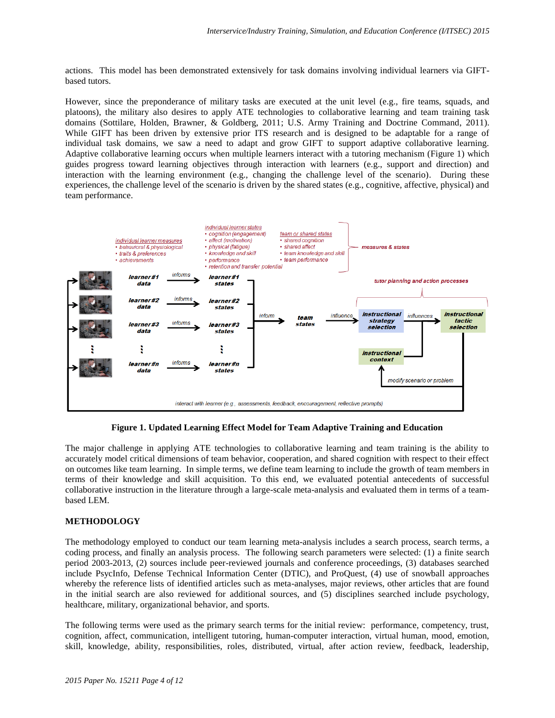actions. This model has been demonstrated extensively for task domains involving individual learners via GIFTbased tutors.

However, since the preponderance of military tasks are executed at the unit level (e.g., fire teams, squads, and platoons), the military also desires to apply ATE technologies to collaborative learning and team training task domains (Sottilare, Holden, Brawner, & Goldberg, 2011; U.S. Army Training and Doctrine Command, 2011). While GIFT has been driven by extensive prior ITS research and is designed to be adaptable for a range of individual task domains, we saw a need to adapt and grow GIFT to support adaptive collaborative learning. Adaptive collaborative learning occurs when multiple learners interact with a tutoring mechanism (Figure 1) which guides progress toward learning objectives through interaction with learners (e.g., support and direction) and interaction with the learning environment (e.g., changing the challenge level of the scenario). During these experiences, the challenge level of the scenario is driven by the shared states (e.g., cognitive, affective, physical) and team performance.



**Figure 1. Updated Learning Effect Model for Team Adaptive Training and Education**

The major challenge in applying ATE technologies to collaborative learning and team training is the ability to accurately model critical dimensions of team behavior, cooperation, and shared cognition with respect to their effect on outcomes like team learning. In simple terms, we define team learning to include the growth of team members in terms of their knowledge and skill acquisition. To this end, we evaluated potential antecedents of successful collaborative instruction in the literature through a large-scale meta-analysis and evaluated them in terms of a teambased LEM.

# **METHODOLOGY**

The methodology employed to conduct our team learning meta-analysis includes a search process, search terms, a coding process, and finally an analysis process. The following search parameters were selected: (1) a finite search period 2003-2013, (2) sources include peer-reviewed journals and conference proceedings, (3) databases searched include PsycInfo, Defense Technical Information Center (DTIC), and ProQuest, (4) use of snowball approaches whereby the reference lists of identified articles such as meta-analyses, major reviews, other articles that are found in the initial search are also reviewed for additional sources, and (5) disciplines searched include psychology, healthcare, military, organizational behavior, and sports.

The following terms were used as the primary search terms for the initial review: performance, competency, trust, cognition, affect, communication, intelligent tutoring, human-computer interaction, virtual human, mood, emotion, skill, knowledge, ability, responsibilities, roles, distributed, virtual, after action review, feedback, leadership,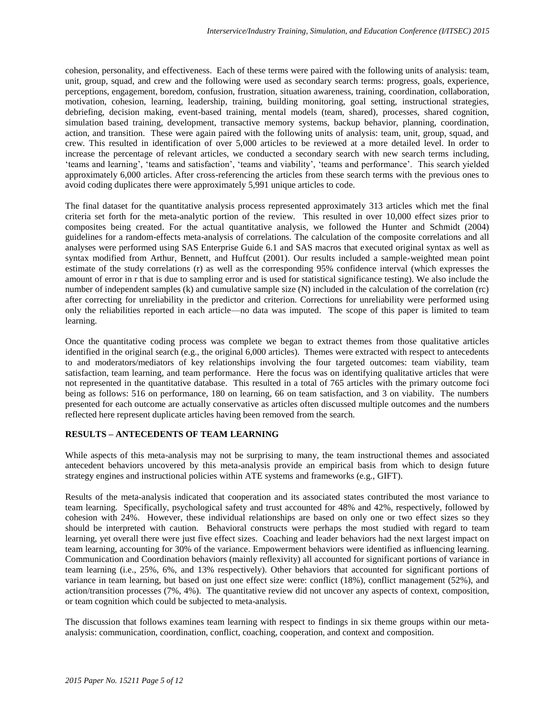cohesion, personality, and effectiveness. Each of these terms were paired with the following units of analysis: team, unit, group, squad, and crew and the following were used as secondary search terms: progress, goals, experience, perceptions, engagement, boredom, confusion, frustration, situation awareness, training, coordination, collaboration, motivation, cohesion, learning, leadership, training, building monitoring, goal setting, instructional strategies, debriefing, decision making, event-based training, mental models (team, shared), processes, shared cognition, simulation based training, development, transactive memory systems, backup behavior, planning, coordination, action, and transition. These were again paired with the following units of analysis: team, unit, group, squad, and crew. This resulted in identification of over 5,000 articles to be reviewed at a more detailed level. In order to increase the percentage of relevant articles, we conducted a secondary search with new search terms including, 'teams and learning', 'teams and satisfaction', 'teams and viability', 'teams and performance'. This search yielded approximately 6,000 articles. After cross-referencing the articles from these search terms with the previous ones to avoid coding duplicates there were approximately 5,991 unique articles to code.

The final dataset for the quantitative analysis process represented approximately 313 articles which met the final criteria set forth for the meta-analytic portion of the review. This resulted in over 10,000 effect sizes prior to composites being created. For the actual quantitative analysis, we followed the Hunter and Schmidt (2004) guidelines for a random-effects meta-analysis of correlations. The calculation of the composite correlations and all analyses were performed using SAS Enterprise Guide 6.1 and SAS macros that executed original syntax as well as syntax modified from Arthur, Bennett, and Huffcut (2001). Our results included a sample-weighted mean point estimate of the study correlations (r) as well as the corresponding 95% confidence interval (which expresses the amount of error in r that is due to sampling error and is used for statistical significance testing). We also include the number of independent samples (k) and cumulative sample size (N) included in the calculation of the correlation (rc) after correcting for unreliability in the predictor and criterion. Corrections for unreliability were performed using only the reliabilities reported in each article—no data was imputed. The scope of this paper is limited to team learning.

Once the quantitative coding process was complete we began to extract themes from those qualitative articles identified in the original search (e.g., the original 6,000 articles). Themes were extracted with respect to antecedents to and moderators/mediators of key relationships involving the four targeted outcomes: team viability, team satisfaction, team learning, and team performance. Here the focus was on identifying qualitative articles that were not represented in the quantitative database. This resulted in a total of 765 articles with the primary outcome foci being as follows: 516 on performance, 180 on learning, 66 on team satisfaction, and 3 on viability. The numbers presented for each outcome are actually conservative as articles often discussed multiple outcomes and the numbers reflected here represent duplicate articles having been removed from the search.

# **RESULTS – ANTECEDENTS OF TEAM LEARNING**

While aspects of this meta-analysis may not be surprising to many, the team instructional themes and associated antecedent behaviors uncovered by this meta-analysis provide an empirical basis from which to design future strategy engines and instructional policies within ATE systems and frameworks (e.g., GIFT).

Results of the meta-analysis indicated that cooperation and its associated states contributed the most variance to team learning. Specifically, psychological safety and trust accounted for 48% and 42%, respectively, followed by cohesion with 24%. However, these individual relationships are based on only one or two effect sizes so they should be interpreted with caution. Behavioral constructs were perhaps the most studied with regard to team learning, yet overall there were just five effect sizes. Coaching and leader behaviors had the next largest impact on team learning, accounting for 30% of the variance. Empowerment behaviors were identified as influencing learning. Communication and Coordination behaviors (mainly reflexivity) all accounted for significant portions of variance in team learning (i.e., 25%, 6%, and 13% respectively). Other behaviors that accounted for significant portions of variance in team learning, but based on just one effect size were: conflict (18%), conflict management (52%), and action/transition processes (7%, 4%). The quantitative review did not uncover any aspects of context, composition, or team cognition which could be subjected to meta-analysis.

The discussion that follows examines team learning with respect to findings in six theme groups within our metaanalysis: communication, coordination, conflict, coaching, cooperation, and context and composition.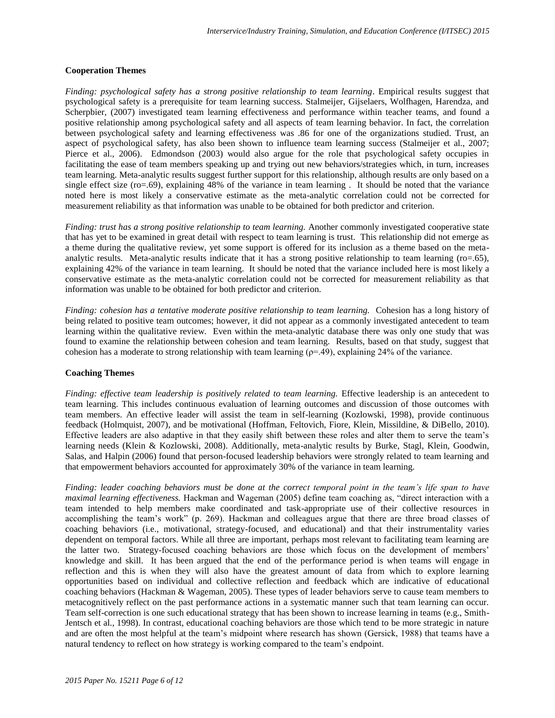#### **Cooperation Themes**

*Finding: psychological safety has a strong positive relationship to team learning*. Empirical results suggest that psychological safety is a prerequisite for team learning success. Stalmeijer, Gijselaers, Wolfhagen, Harendza, and Scherpbier, (2007) investigated team learning effectiveness and performance within teacher teams, and found a positive relationship among psychological safety and all aspects of team learning behavior. In fact, the correlation between psychological safety and learning effectiveness was .86 for one of the organizations studied. Trust, an aspect of psychological safety, has also been shown to influence team learning success (Stalmeijer et al., 2007; Pierce et al., 2006). Edmondson (2003) would also argue for the role that psychological safety occupies in facilitating the ease of team members speaking up and trying out new behaviors/strategies which, in turn, increases team learning. Meta-analytic results suggest further support for this relationship, although results are only based on a single effect size (ro=.69), explaining 48% of the variance in team learning . It should be noted that the variance noted here is most likely a conservative estimate as the meta-analytic correlation could not be corrected for measurement reliability as that information was unable to be obtained for both predictor and criterion.

*Finding: trust has a strong positive relationship to team learning.* Another commonly investigated cooperative state that has yet to be examined in great detail with respect to team learning is trust. This relationship did not emerge as a theme during the qualitative review, yet some support is offered for its inclusion as a theme based on the metaanalytic results. Meta-analytic results indicate that it has a strong positive relationship to team learning (ro=.65), explaining 42% of the variance in team learning. It should be noted that the variance included here is most likely a conservative estimate as the meta-analytic correlation could not be corrected for measurement reliability as that information was unable to be obtained for both predictor and criterion.

*Finding: cohesion has a tentative moderate positive relationship to team learning.* Cohesion has a long history of being related to positive team outcomes; however, it did not appear as a commonly investigated antecedent to team learning within the qualitative review. Even within the meta-analytic database there was only one study that was found to examine the relationship between cohesion and team learning. Results, based on that study, suggest that cohesion has a moderate to strong relationship with team learning ( $\rho$ =.49), explaining 24% of the variance.

#### **Coaching Themes**

*Finding: effective team leadership is positively related to team learning.* Effective leadership is an antecedent to team learning. This includes continuous evaluation of learning outcomes and discussion of those outcomes with team members. An effective leader will assist the team in self-learning (Kozlowski, 1998), provide continuous feedback (Holmquist, 2007), and be motivational (Hoffman, Feltovich, Fiore, Klein, Missildine, & DiBello, 2010). Effective leaders are also adaptive in that they easily shift between these roles and alter them to serve the team's learning needs (Klein & Kozlowski, 2008). Additionally, meta-analytic results by Burke, Stagl, Klein, Goodwin, Salas, and Halpin (2006) found that person-focused leadership behaviors were strongly related to team learning and that empowerment behaviors accounted for approximately 30% of the variance in team learning.

*Finding: leader coaching behaviors must be done at the correct temporal point in the team's life span to have maximal learning effectiveness.* Hackman and Wageman (2005) define team coaching as, "direct interaction with a team intended to help members make coordinated and task-appropriate use of their collective resources in accomplishing the team's work" (p. 269). Hackman and colleagues argue that there are three broad classes of coaching behaviors (i.e., motivational, strategy-focused, and educational) and that their instrumentality varies dependent on temporal factors. While all three are important, perhaps most relevant to facilitating team learning are the latter two. Strategy-focused coaching behaviors are those which focus on the development of members' knowledge and skill. It has been argued that the end of the performance period is when teams will engage in reflection and this is when they will also have the greatest amount of data from which to explore learning opportunities based on individual and collective reflection and feedback which are indicative of educational coaching behaviors (Hackman & Wageman, 2005). These types of leader behaviors serve to cause team members to metacognitively reflect on the past performance actions in a systematic manner such that team learning can occur. Team self-correction is one such educational strategy that has been shown to increase learning in teams (e.g., Smith-Jentsch et al., 1998). In contrast, educational coaching behaviors are those which tend to be more strategic in nature and are often the most helpful at the team's midpoint where research has shown (Gersick, 1988) that teams have a natural tendency to reflect on how strategy is working compared to the team's endpoint.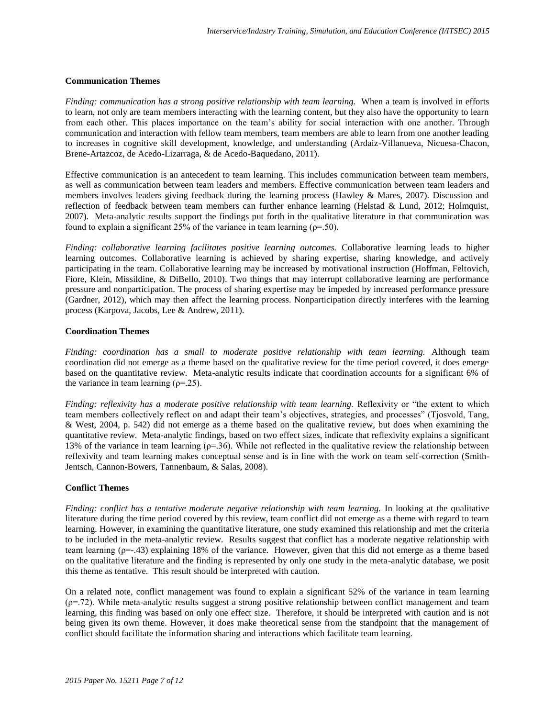#### **Communication Themes**

*Finding: communication has a strong positive relationship with team learning.* When a team is involved in efforts to learn, not only are team members interacting with the learning content, but they also have the opportunity to learn from each other. This places importance on the team's ability for social interaction with one another. Through communication and interaction with fellow team members, team members are able to learn from one another leading to increases in cognitive skill development, knowledge, and understanding (Ardaiz-Villanueva, Nicuesa-Chacon, Brene-Artazcoz, de Acedo-Lizarraga, & de Acedo-Baquedano, 2011).

Effective communication is an antecedent to team learning. This includes communication between team members, as well as communication between team leaders and members. Effective communication between team leaders and members involves leaders giving feedback during the learning process (Hawley & Mares, 2007). Discussion and reflection of feedback between team members can further enhance learning (Helstad & Lund, 2012; Holmquist, 2007). Meta-analytic results support the findings put forth in the qualitative literature in that communication was found to explain a significant 25% of the variance in team learning ( $\rho$ =.50).

*Finding: collaborative learning facilitates positive learning outcomes.* Collaborative learning leads to higher learning outcomes. Collaborative learning is achieved by sharing expertise, sharing knowledge, and actively participating in the team. Collaborative learning may be increased by motivational instruction (Hoffman, Feltovich, Fiore, Klein, Missildine, & DiBello, 2010). Two things that may interrupt collaborative learning are performance pressure and nonparticipation. The process of sharing expertise may be impeded by increased performance pressure (Gardner, 2012), which may then affect the learning process. Nonparticipation directly interferes with the learning process (Karpova, Jacobs, Lee & Andrew, 2011).

#### **Coordination Themes**

*Finding: coordination has a small to moderate positive relationship with team learning.* Although team coordination did not emerge as a theme based on the qualitative review for the time period covered, it does emerge based on the quantitative review. Meta-analytic results indicate that coordination accounts for a significant 6% of the variance in team learning  $(\rho = 25)$ .

*Finding: reflexivity has a moderate positive relationship with team learning.* Reflexivity or "the extent to which team members collectively reflect on and adapt their team's objectives, strategies, and processes" (Tjosvold, Tang, & West, 2004, p. 542) did not emerge as a theme based on the qualitative review, but does when examining the quantitative review. Meta-analytic findings, based on two effect sizes, indicate that reflexivity explains a significant 13% of the variance in team learning ( $p=36$ ). While not reflected in the qualitative review the relationship between reflexivity and team learning makes conceptual sense and is in line with the work on team self-correction (Smith-Jentsch, Cannon-Bowers, Tannenbaum, & Salas, 2008).

#### **Conflict Themes**

*Finding: conflict has a tentative moderate negative relationship with team learning.* In looking at the qualitative literature during the time period covered by this review, team conflict did not emerge as a theme with regard to team learning. However, in examining the quantitative literature, one study examined this relationship and met the criteria to be included in the meta-analytic review. Results suggest that conflict has a moderate negative relationship with team learning (ρ=-.43) explaining 18% of the variance. However, given that this did not emerge as a theme based on the qualitative literature and the finding is represented by only one study in the meta-analytic database, we posit this theme as tentative. This result should be interpreted with caution.

On a related note, conflict management was found to explain a significant 52% of the variance in team learning  $(p=.72)$ . While meta-analytic results suggest a strong positive relationship between conflict management and team learning, this finding was based on only one effect size. Therefore, it should be interpreted with caution and is not being given its own theme. However, it does make theoretical sense from the standpoint that the management of conflict should facilitate the information sharing and interactions which facilitate team learning.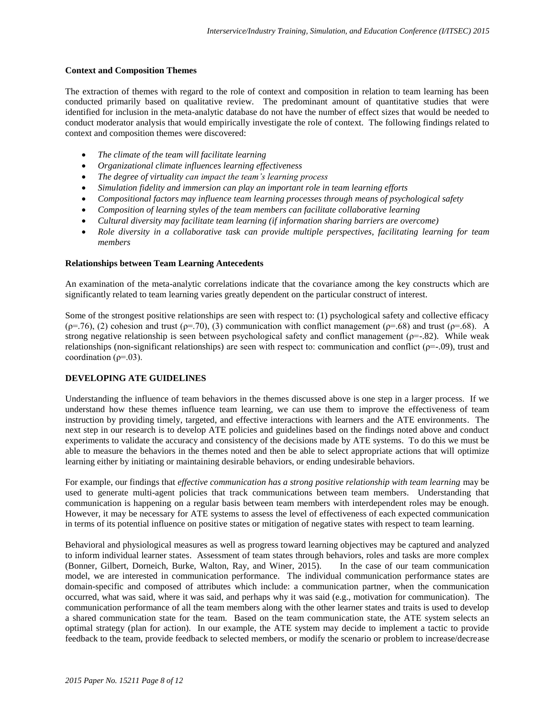## **Context and Composition Themes**

The extraction of themes with regard to the role of context and composition in relation to team learning has been conducted primarily based on qualitative review. The predominant amount of quantitative studies that were identified for inclusion in the meta-analytic database do not have the number of effect sizes that would be needed to conduct moderator analysis that would empirically investigate the role of context. The following findings related to context and composition themes were discovered:

- *The climate of the team will facilitate learning*
- *Organizational climate influences learning effectiveness*
- *The degree of virtuality can impact the team's learning process*
- *Simulation fidelity and immersion can play an important role in team learning efforts*
- *Compositional factors may influence team learning processes through means of psychological safety*
- *Composition of learning styles of the team members can facilitate collaborative learning*
- *Cultural diversity may facilitate team learning (if information sharing barriers are overcome)*
- *Role diversity in a collaborative task can provide multiple perspectives, facilitating learning for team members*

# **Relationships between Team Learning Antecedents**

An examination of the meta-analytic correlations indicate that the covariance among the key constructs which are significantly related to team learning varies greatly dependent on the particular construct of interest.

Some of the strongest positive relationships are seen with respect to: (1) psychological safety and collective efficacy ( $\rho$ =.76), (2) cohesion and trust ( $\rho$ =.70), (3) communication with conflict management ( $\rho$ =.68) and trust ( $\rho$ =.68). A strong negative relationship is seen between psychological safety and conflict management ( $\rho$ =-.82). While weak relationships (non-significant relationships) are seen with respect to: communication and conflict ( $p=-.09$ ), trust and coordination ( $\rho$ =.03).

# **DEVELOPING ATE GUIDELINES**

Understanding the influence of team behaviors in the themes discussed above is one step in a larger process. If we understand how these themes influence team learning, we can use them to improve the effectiveness of team instruction by providing timely, targeted, and effective interactions with learners and the ATE environments. The next step in our research is to develop ATE policies and guidelines based on the findings noted above and conduct experiments to validate the accuracy and consistency of the decisions made by ATE systems. To do this we must be able to measure the behaviors in the themes noted and then be able to select appropriate actions that will optimize learning either by initiating or maintaining desirable behaviors, or ending undesirable behaviors.

For example, our findings that *effective communication has a strong positive relationship with team learning* may be used to generate multi-agent policies that track communications between team members. Understanding that communication is happening on a regular basis between team members with interdependent roles may be enough. However, it may be necessary for ATE systems to assess the level of effectiveness of each expected communication in terms of its potential influence on positive states or mitigation of negative states with respect to team learning.

Behavioral and physiological measures as well as progress toward learning objectives may be captured and analyzed to inform individual learner states. Assessment of team states through behaviors, roles and tasks are more complex (Bonner, Gilbert, Dorneich, Burke, Walton, Ray, and Winer, 2015). In the case of our team communication model, we are interested in communication performance. The individual communication performance states are domain-specific and composed of attributes which include: a communication partner, when the communication occurred, what was said, where it was said, and perhaps why it was said (e.g., motivation for communication). The communication performance of all the team members along with the other learner states and traits is used to develop a shared communication state for the team. Based on the team communication state, the ATE system selects an optimal strategy (plan for action). In our example, the ATE system may decide to implement a tactic to provide feedback to the team, provide feedback to selected members, or modify the scenario or problem to increase/decrease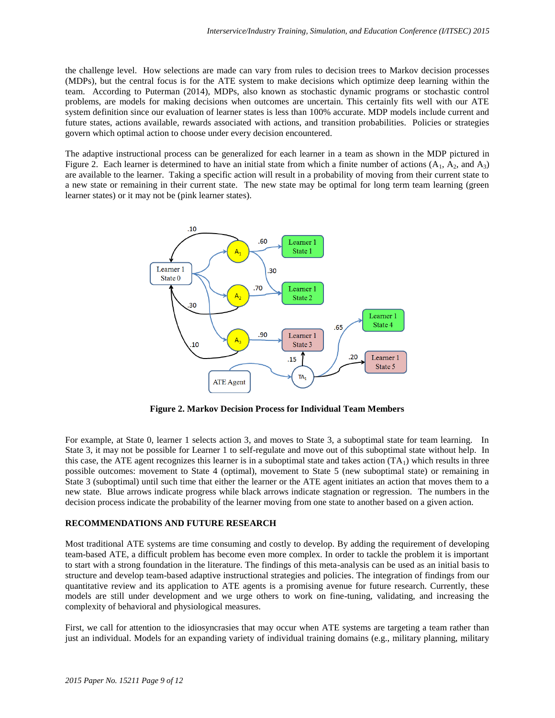the challenge level. How selections are made can vary from rules to decision trees to Markov decision processes (MDPs), but the central focus is for the ATE system to make decisions which optimize deep learning within the team. According to Puterman (2014), MDPs, also known as stochastic dynamic programs or stochastic control problems, are models for making decisions when outcomes are uncertain. This certainly fits well with our ATE system definition since our evaluation of learner states is less than 100% accurate. MDP models include current and future states, actions available, rewards associated with actions, and transition probabilities. Policies or strategies govern which optimal action to choose under every decision encountered.

The adaptive instructional process can be generalized for each learner in a team as shown in the MDP pictured in Figure 2. Each learner is determined to have an initial state from which a finite number of actions  $(A_1, A_2,$  and  $A_3)$ are available to the learner. Taking a specific action will result in a probability of moving from their current state to a new state or remaining in their current state. The new state may be optimal for long term team learning (green learner states) or it may not be (pink learner states).



**Figure 2. Markov Decision Process for Individual Team Members**

For example, at State 0, learner 1 selects action 3, and moves to State 3, a suboptimal state for team learning. In State 3, it may not be possible for Learner 1 to self-regulate and move out of this suboptimal state without help. In this case, the ATE agent recognizes this learner is in a suboptimal state and takes action  $(TA_1)$  which results in three possible outcomes: movement to State 4 (optimal), movement to State 5 (new suboptimal state) or remaining in State 3 (suboptimal) until such time that either the learner or the ATE agent initiates an action that moves them to a new state. Blue arrows indicate progress while black arrows indicate stagnation or regression. The numbers in the decision process indicate the probability of the learner moving from one state to another based on a given action.

# **RECOMMENDATIONS AND FUTURE RESEARCH**

Most traditional ATE systems are time consuming and costly to develop. By adding the requirement of developing team-based ATE, a difficult problem has become even more complex. In order to tackle the problem it is important to start with a strong foundation in the literature. The findings of this meta-analysis can be used as an initial basis to structure and develop team-based adaptive instructional strategies and policies. The integration of findings from our quantitative review and its application to ATE agents is a promising avenue for future research. Currently, these models are still under development and we urge others to work on fine-tuning, validating, and increasing the complexity of behavioral and physiological measures.

First, we call for attention to the idiosyncrasies that may occur when ATE systems are targeting a team rather than just an individual. Models for an expanding variety of individual training domains (e.g., military planning, military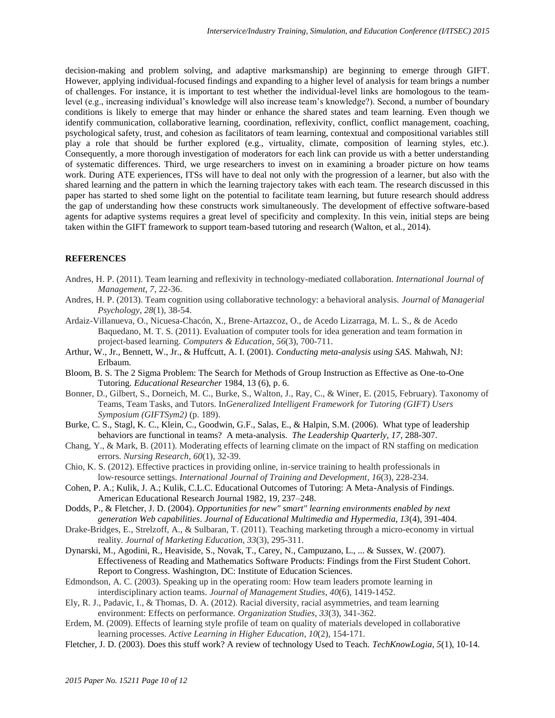decision-making and problem solving, and adaptive marksmanship) are beginning to emerge through GIFT. However, applying individual-focused findings and expanding to a higher level of analysis for team brings a number of challenges. For instance, it is important to test whether the individual-level links are homologous to the teamlevel (e.g., increasing individual's knowledge will also increase team's knowledge?). Second, a number of boundary conditions is likely to emerge that may hinder or enhance the shared states and team learning. Even though we identify communication, collaborative learning, coordination, reflexivity, conflict, conflict management, coaching, psychological safety, trust, and cohesion as facilitators of team learning, contextual and compositional variables still play a role that should be further explored (e.g., virtuality, climate, composition of learning styles, etc.). Consequently, a more thorough investigation of moderators for each link can provide us with a better understanding of systematic differences. Third, we urge researchers to invest on in examining a broader picture on how teams work. During ATE experiences, ITSs will have to deal not only with the progression of a learner, but also with the shared learning and the pattern in which the learning trajectory takes with each team. The research discussed in this paper has started to shed some light on the potential to facilitate team learning, but future research should address the gap of understanding how these constructs work simultaneously. The development of effective software-based agents for adaptive systems requires a great level of specificity and complexity. In this vein, initial steps are being taken within the GIFT framework to support team-based tutoring and research (Walton, et al., 2014).

### **REFERENCES**

- Andres, H. P. (2011). Team learning and reflexivity in technology-mediated collaboration. *International Journal of Management*, *7*, 22-36.
- Andres, H. P. (2013). Team cognition using collaborative technology: a behavioral analysis. *Journal of Managerial Psychology*, *28*(1), 38-54.
- Ardaiz-Villanueva, O., Nicuesa-Chacón, X., Brene-Artazcoz, O., de Acedo Lizarraga, M. L. S., & de Acedo Baquedano, M. T. S. (2011). Evaluation of computer tools for idea generation and team formation in project-based learning. *Computers & Education*, *56*(3), 700-711.
- Arthur, W., Jr., Bennett, W., Jr., & Huffcutt, A. I. (2001). *Conducting meta-analysis using SAS*. Mahwah, NJ: Erlbaum.
- Bloom, B. S. The 2 Sigma Problem: The Search for Methods of Group Instruction as Effective as One-to-One Tutoring. *Educational Researcher* 1984, 13 (6), p. 6.
- Bonner, D., Gilbert, S., Dorneich, M. C., Burke, S., Walton, J., Ray, C., & Winer, E. (2015, February). Taxonomy of Teams, Team Tasks, and Tutors. In*Generalized Intelligent Framework for Tutoring (GIFT) Users Symposium (GIFTSym2)* (p. 189).
- Burke, C. S., Stagl, K. C., Klein, C., Goodwin, G.F., Salas, E., & Halpin, S.M. (2006). What type of leadership behaviors are functional in teams? A meta-analysis. *The Leadership Quarterly, 17*, 288-307.
- Chang, Y., & Mark, B. (2011). Moderating effects of learning climate on the impact of RN staffing on medication errors. *Nursing Research*, *60*(1), 32-39.
- Chio, K. S. (2012). Effective practices in providing online, in‐service training to health professionals in low‐resource settings. *International Journal of Training and Development*, *16*(3), 228-234.
- Cohen, P. A.; Kulik, J. A.; Kulik, C.L.C. Educational Outcomes of Tutoring: A Meta-Analysis of Findings. American Educational Research Journal 1982, 19, 237–248.
- Dodds, P., & Fletcher, J. D. (2004). *Opportunities for new" smart" learning environments enabled by next generation Web capabilities*. *Journal of Educational Multimedia and Hypermedia, 13*(4), 391-404.
- Drake-Bridges, E., Strelzoff, A., & Sulbaran, T. (2011). Teaching marketing through a micro-economy in virtual reality. *Journal of Marketing Education*, *33*(3), 295-311.
- Dynarski, M., Agodini, R., Heaviside, S., Novak, T., Carey, N., Campuzano, L., ... & Sussex, W. (2007). Effectiveness of Reading and Mathematics Software Products: Findings from the First Student Cohort. Report to Congress. Washington, DC: Institute of Education Sciences.
- Edmondson, A. C. (2003). Speaking up in the operating room: How team leaders promote learning in interdisciplinary action teams. *Journal of Management Studies*, *40*(6), 1419-1452.
- Ely, R. J., Padavic, I., & Thomas, D. A. (2012). Racial diversity, racial asymmetries, and team learning environment: Effects on performance. *Organization Studies*, *33*(3), 341-362.
- Erdem, M. (2009). Effects of learning style profile of team on quality of materials developed in collaborative learning processes. *Active Learning in Higher Education*, *10*(2), 154-171.
- Fletcher, J. D. (2003). Does this stuff work? A review of technology Used to Teach. *TechKnowLogia*, *5*(1), 10-14.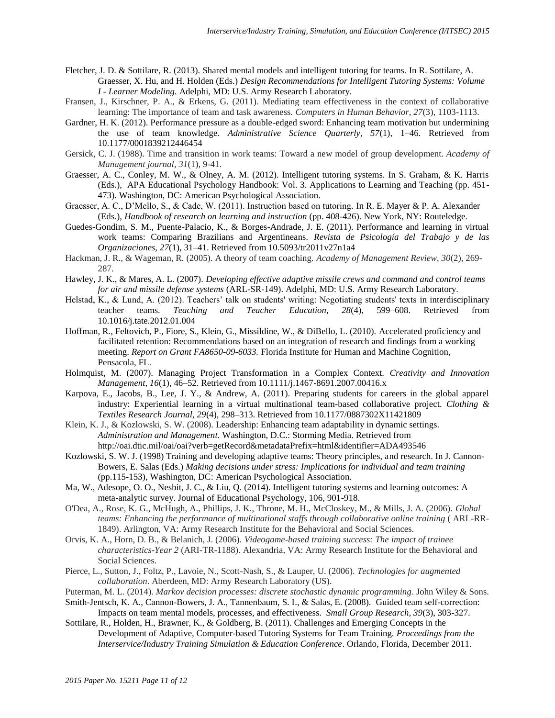- Fletcher, J. D. & Sottilare, R. (2013). Shared mental models and intelligent tutoring for teams. In R. Sottilare, A. Graesser, X. Hu, and H. Holden (Eds.) *Design Recommendations for Intelligent Tutoring Systems: Volume I - Learner Modeling.* Adelphi, MD: U.S. Army Research Laboratory.
- Fransen, J., Kirschner, P. A., & Erkens, G. (2011). Mediating team effectiveness in the context of collaborative learning: The importance of team and task awareness. *Computers in Human Behavior*, *27*(3), 1103-1113.
- Gardner, H. K. (2012). Performance pressure as a double-edged sword: Enhancing team motivation but undermining the use of team knowledge. *Administrative Science Quarterly, 57*(1), 1–46. Retrieved from 10.1177/0001839212446454
- Gersick, C. J. (1988). Time and transition in work teams: Toward a new model of group development. *Academy of Management journal*, *31*(1), 9-41.
- Graesser, A. C., Conley, M. W., & Olney, A. M. (2012). Intelligent tutoring systems. In S. Graham, & K. Harris (Eds.), APA Educational Psychology Handbook: Vol. 3. Applications to Learning and Teaching (pp. 451- 473). Washington, DC: American Psychological Association.
- Graesser, A. C., D'Mello, S., & Cade, W. (2011). Instruction based on tutoring. In R. E. Mayer & P. A. Alexander (Eds.), *Handbook of research on learning and instruction* (pp. 408-426). New York, NY: Routeledge.
- Guedes-Gondim, S. M., Puente-Palacio, K., & Borges-Andrade, J. E. (2011). Performance and learning in virtual work teams: Comparing Brazilians and Argentineans*. Revista de Psicología del Trabajo y de las Organizaciones, 27*(1), 31–41. Retrieved from 10.5093/tr2011v27n1a4
- Hackman, J. R., & Wageman, R. (2005). A theory of team coaching. *Academy of Management Review*, *30*(2), 269- 287.
- Hawley, J. K., & Mares, A. L. (2007). *Developing effective adaptive missile crews and command and control teams for air and missile defense systems* (ARL-SR-149). Adelphi, MD: U.S. Army Research Laboratory.
- Helstad, K., & Lund, A. (2012). Teachers' talk on students' writing: Negotiating students' texts in interdisciplinary teacher teams. *Teaching and Teacher Education, 28*(4), 599–608. Retrieved from 10.1016/j.tate.2012.01.004
- Hoffman, R., Feltovich, P., Fiore, S., Klein, G., Missildine, W., & DiBello, L. (2010). Accelerated proficiency and facilitated retention: Recommendations based on an integration of research and findings from a working meeting. *Report on Grant FA8650-09-6033.* Florida Institute for Human and Machine Cognition, Pensacola, FL.
- Holmquist, M. (2007). Managing Project Transformation in a Complex Context. *Creativity and Innovation Management, 16*(1), 46–52. Retrieved from 10.1111/j.1467-8691.2007.00416.x
- Karpova, E., Jacobs, B., Lee, J. Y., & Andrew, A. (2011). Preparing students for careers in the global apparel industry: Experiential learning in a virtual multinational team-based collaborative project. *Clothing & Textiles Research Journal, 29*(4), 298–313. Retrieved from 10.1177/0887302X11421809
- Klein, K. J., & Kozlowski, S. W. (2008). Leadership: Enhancing team adaptability in dynamic settings. *Administration and Management.* Washington, D.C.: Storming Media. Retrieved from http://oai.dtic.mil/oai/oai?verb=getRecord&metadataPrefix=html&identifier=ADA493546
- Kozlowski, S. W. J. (1998) Training and developing adaptive teams: Theory principles, and research. In J. Cannon-Bowers, E. Salas (Eds.) *Making decisions under stress: Implications for individual and team training* (pp.115-153), Washington, DC: American Psychological Association.
- Ma, W., Adesope, O. O., Nesbit, J. C., & Liu, Q. (2014). Intelligent tutoring systems and learning outcomes: A meta-analytic survey. Journal of Educational Psychology, 106, 901-918.
- O'Dea, A., Rose, K. G., McHugh, A., Phillips, J. K., Throne, M. H., McCloskey, M., & Mills, J. A. (2006). *Global teams: Enhancing the performance of multinational staffs through collaborative online training* ( ARL-RR-1849). Arlington, VA: Army Research Institute for the Behavioral and Social Sciences.
- Orvis, K. A., Horn, D. B., & Belanich, J. (2006). *Videogame-based training success: The impact of trainee characteristics-Year 2* (ARI-TR-1188). Alexandria, VA: Army Research Institute for the Behavioral and Social Sciences.
- Pierce, L., Sutton, J., Foltz, P., Lavoie, N., Scott-Nash, S., & Lauper, U. (2006). *Technologies for augmented collaboration*. Aberdeen, MD: Army Research Laboratory (US).
- Puterman, M. L. (2014). *Markov decision processes: discrete stochastic dynamic programming*. John Wiley & Sons. Smith-Jentsch, K. A., Cannon-Bowers, J. A., Tannenbaum, S. I., & Salas, E. (2008). Guided team self-correction:
- Impacts on team mental models, processes, and effectiveness. *Small Group Research, 39*(3), 303-327. Sottilare, R., Holden, H., Brawner, K., & Goldberg, B. (2011). Challenges and Emerging Concepts in the
- Development of Adaptive, Computer-based Tutoring Systems for Team Training. *Proceedings from the Interservice/Industry Training Simulation & Education Conference*. Orlando, Florida, December 2011.